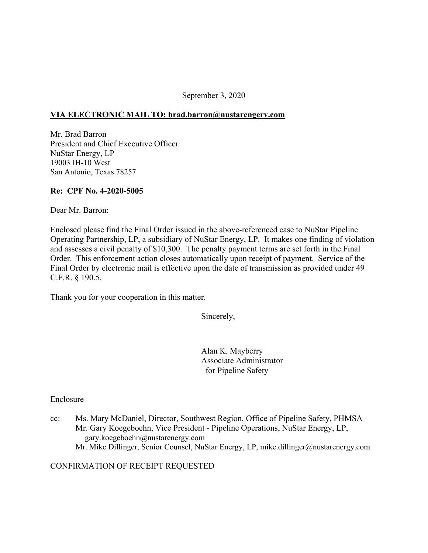September 3, 2020

#### **VIA ELECTRONIC MAIL TO: [brad.barron@nustarengery.com](mailto:brad.barron@nustarengery.com)**

Mr. Brad Barron President and Chief Executive Officer NuStar Energy, LP 19003 IH-10 West San Antonio, Texas 78257

#### **Re: CPF No. 4-2020-5005**

Dear Mr. Barron:

Enclosed please find the Final Order issued in the above-referenced case to NuStar Pipeline Operating Partnership, LP, a subsidiary of NuStar Energy, LP. It makes one finding of violation and assesses a civil penalty of \$10,300. The penalty payment terms are set forth in the Final Order. This enforcement action closes automatically upon receipt of payment. Service of the Final Order by electronic mail is effective upon the date of transmission as provided under 49 C.F.R. § 190.5.

Thank you for your cooperation in this matter.

Sincerely,

Alan K. Mayberry Associate Administrator for Pipeline Safety

Enclosure

cc: Ms. Mary McDaniel, Director, Southwest Region, Office of Pipeline Safety, PHMSA Mr. Gary Koegeboehn, Vice President - Pipeline Operations, NuStar Energy, LP, [gary.koegeboehn@nustarenergy.com](mailto:gary.koegeboehn@nustarenergy.com) Mr. Mike Dillinger, Senior Counsel, NuStar Energy, LP, [mike.dillinger@nustarenergy.com](mailto:mike.dillinger@nustarenergy.com) 

### CONFIRMATION OF RECEIPT REQUESTED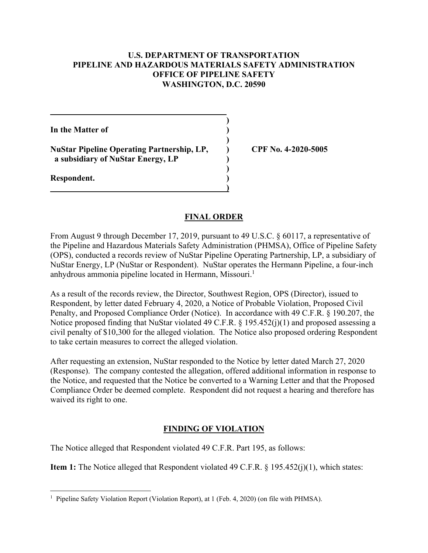## **U.S. DEPARTMENT OF TRANSPORTATION PIPELINE AND HAZARDOUS MATERIALS SAFETY ADMINISTRATION OFFICE OF PIPELINE SAFETY WASHINGTON, D.C. 20590**

**)** 

**)** 

**)** 

**In the Matter of )** 

**NuStar Pipeline Operating Partnership, LP, ) CPF No. 4-2020-5005 a subsidiary of NuStar Energy, LP )**

 **)** 

**Respondent. )** 

## **FINAL ORDER**

From August 9 through December 17, 2019, pursuant to 49 U.S.C. § 60117, a representative of the Pipeline and Hazardous Materials Safety Administration (PHMSA), Office of Pipeline Safety (OPS), conducted a records review of NuStar Pipeline Operating Partnership, LP, a subsidiary of NuStar Energy, LP (NuStar or Respondent). NuStar operates the Hermann Pipeline, a four-inch anhydrous ammonia pipeline located in Hermann, Missouri.<sup>1</sup>

As a result of the records review, the Director, Southwest Region, OPS (Director), issued to Respondent, by letter dated February 4, 2020, a Notice of Probable Violation, Proposed Civil Penalty, and Proposed Compliance Order (Notice). In accordance with 49 C.F.R. § 190.207, the Notice proposed finding that NuStar violated 49 C.F.R. § 195.452(j)(1) and proposed assessing a civil penalty of \$10,300 for the alleged violation. The Notice also proposed ordering Respondent to take certain measures to correct the alleged violation.

After requesting an extension, NuStar responded to the Notice by letter dated March 27, 2020 (Response). The company contested the allegation, offered additional information in response to the Notice, and requested that the Notice be converted to a Warning Letter and that the Proposed Compliance Order be deemed complete. Respondent did not request a hearing and therefore has waived its right to one.

# **FINDING OF VIOLATION**

The Notice alleged that Respondent violated 49 C.F.R. Part 195, as follows:

**Item 1:** The Notice alleged that Respondent violated 49 C.F.R. § 195.452(j)(1), which states:

 $\overline{a}$ <sup>1</sup> Pipeline Safety Violation Report (Violation Report), at 1 (Feb. 4, 2020) (on file with PHMSA).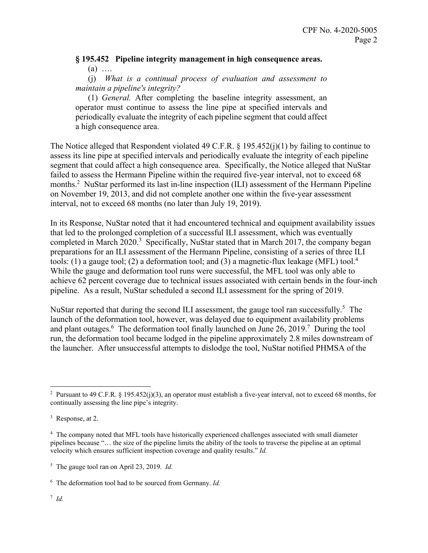## **§ 195.452 Pipeline integrity management in high consequence areas.**   $(a)$  …

(j) *What is a continual process of evaluation and assessment to maintain a pipeline's integrity?* 

(1) *General.* After completing the baseline integrity assessment, an operator must continue to assess the line pipe at specified intervals and periodically evaluate the integrity of each pipeline segment that could affect a high consequence area.

The Notice alleged that Respondent violated 49 C.F.R. § 195.452(j)(1) by failing to continue to assess its line pipe at specified intervals and periodically evaluate the integrity of each pipeline segment that could affect a high consequence area. Specifically, the Notice alleged that NuStar failed to assess the Hermann Pipeline within the required five-year interval, not to exceed 68 months.<sup>2</sup> NuStar performed its last in-line inspection (ILI) assessment of the Hermann Pipeline on November 19, 2013, and did not complete another one within the five-year assessment interval, not to exceed 68 months (no later than July 19, 2019).

tools: (1) a gauge tool; (2) a deformation tool; and (3) a magnetic-flux leakage (MFL) tool.<sup>4</sup> In its Response, NuStar noted that it had encountered technical and equipment availability issues that led to the prolonged completion of a successful ILI assessment, which was eventually completed in March 2020.<sup>3</sup> Specifically, NuStar stated that in March 2017, the company began preparations for an ILI assessment of the Hermann Pipeline, consisting of a series of three ILI While the gauge and deformation tool runs were successful, the MFL tool was only able to achieve 62 percent coverage due to technical issues associated with certain bends in the four-inch pipeline. As a result, NuStar scheduled a second ILI assessment for the spring of 2019.

NuStar reported that during the second ILI assessment, the gauge tool ran successfully.<sup>5</sup> The launch of the deformation tool, however, was delayed due to equipment availability problems and plant outages. <sup>6</sup> The deformation tool finally launched on June 26, 2019.<sup>7</sup> During the tool run, the deformation tool became lodged in the pipeline approximately 2.8 miles downstream of the launcher. After unsuccessful attempts to dislodge the tool, NuStar notified PHMSA of the

<sup>&</sup>lt;sup>2</sup> Pursuant to 49 C.F.R. § 195.452(j)(3), an operator must establish a five-year interval, not to exceed 68 months, for continually assessing the line pipe's integrity.

<sup>&</sup>lt;sup>3</sup> Response, at 2.

<sup>&</sup>lt;sup>4</sup> The company noted that MFL tools have historically experienced challenges associated with small diameter pipelines because "… the size of the pipeline limits the ability of the tools to traverse the pipeline at an optimal velocity which ensures sufficient inspection coverage and quality results." *Id.* 

 5 The gauge tool ran on April 23, 2019. *Id.* 

 6 The deformation tool had to be sourced from Germany. *Id.*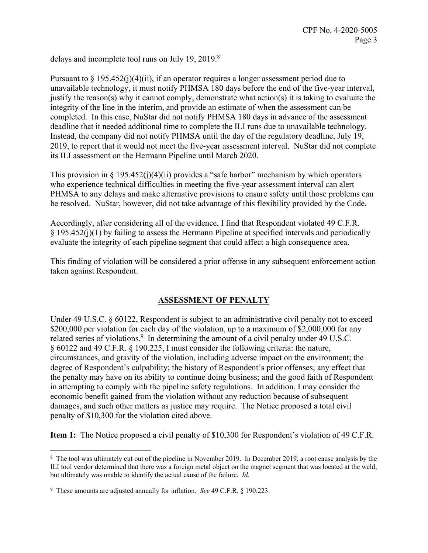delays and incomplete tool runs on July 19, 2019. $8$ 

Pursuant to  $\S 195.452(i)(4)(ii)$ , if an operator requires a longer assessment period due to unavailable technology, it must notify PHMSA 180 days before the end of the five-year interval, justify the reason(s) why it cannot comply, demonstrate what action(s) it is taking to evaluate the integrity of the line in the interim, and provide an estimate of when the assessment can be completed. In this case, NuStar did not notify PHMSA 180 days in advance of the assessment deadline that it needed additional time to complete the ILI runs due to unavailable technology. Instead, the company did not notify PHMSA until the day of the regulatory deadline, July 19, 2019, to report that it would not meet the five-year assessment interval. NuStar did not complete its ILI assessment on the Hermann Pipeline until March 2020.

This provision in § 195.452(j)(4)(ii) provides a "safe harbor" mechanism by which operators who experience technical difficulties in meeting the five-year assessment interval can alert PHMSA to any delays and make alternative provisions to ensure safety until those problems can be resolved. NuStar, however, did not take advantage of this flexibility provided by the Code.

Accordingly, after considering all of the evidence, I find that Respondent violated 49 C.F.R. § 195.452(j)(1) by failing to assess the Hermann Pipeline at specified intervals and periodically evaluate the integrity of each pipeline segment that could affect a high consequence area.

This finding of violation will be considered a prior offense in any subsequent enforcement action taken against Respondent.

### **ASSESSMENT OF PENALTY**

Under 49 U.S.C. § 60122, Respondent is subject to an administrative civil penalty not to exceed \$200,000 per violation for each day of the violation, up to a maximum of \$2,000,000 for any related series of violations.<sup>9</sup> In determining the amount of a civil penalty under 49 U.S.C. § 60122 and 49 C.F.R. § 190.225, I must consider the following criteria: the nature, circumstances, and gravity of the violation, including adverse impact on the environment; the degree of Respondent's culpability; the history of Respondent's prior offenses; any effect that the penalty may have on its ability to continue doing business; and the good faith of Respondent in attempting to comply with the pipeline safety regulations. In addition, I may consider the economic benefit gained from the violation without any reduction because of subsequent damages, and such other matters as justice may require. The Notice proposed a total civil penalty of \$10,300 for the violation cited above.

**Item 1:** The Notice proposed a civil penalty of \$10,300 for Respondent's violation of 49 C.F.R.

<sup>&</sup>lt;sup>8</sup> The tool was ultimately cut out of the pipeline in November 2019. In December 2019, a root cause analysis by the ILI tool vendor determined that there was a foreign metal object on the magnet segment that was located at the weld, but ultimately was unable to identify the actual cause of the failure. *Id.* 

<sup>9</sup> These amounts are adjusted annually for inflation. *See* 49 C.F.R. § 190.223.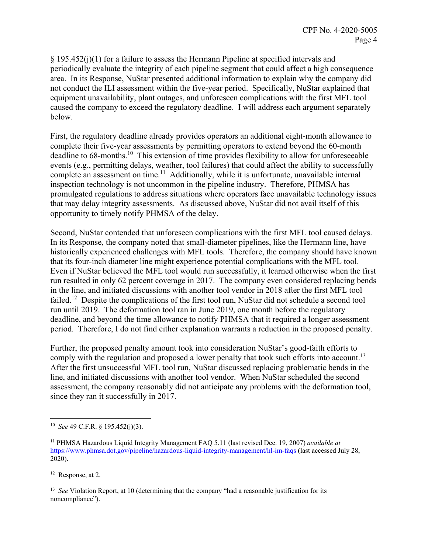§ 195.452(j)(1) for a failure to assess the Hermann Pipeline at specified intervals and periodically evaluate the integrity of each pipeline segment that could affect a high consequence area. In its Response, NuStar presented additional information to explain why the company did not conduct the ILI assessment within the five-year period. Specifically, NuStar explained that equipment unavailability, plant outages, and unforeseen complications with the first MFL tool caused the company to exceed the regulatory deadline. I will address each argument separately below.

First, the regulatory deadline already provides operators an additional eight-month allowance to complete their five-year assessments by permitting operators to extend beyond the 60-month deadline to [68-months.](https://68-months.10)<sup>10</sup> This extension of time provides flexibility to allow for unforeseeable events (e.g., permitting delays, weather, tool failures) that could affect the ability to successfully complete an assessment on time.<sup>11</sup> Additionally, while it is unfortunate, unavailable internal inspection technology is not uncommon in the pipeline industry. Therefore, PHMSA has promulgated regulations to address situations where operators face unavailable technology issues that may delay integrity assessments. As discussed above, NuStar did not avail itself of this opportunity to timely notify PHMSA of the delay.

Second, NuStar contended that unforeseen complications with the first MFL tool caused delays. In its Response, the company noted that small-diameter pipelines, like the Hermann line, have historically experienced challenges with MFL tools. Therefore, the company should have known that its four-inch diameter line might experience potential complications with the MFL tool. Even if NuStar believed the MFL tool would run successfully, it learned otherwise when the first run resulted in only 62 percent coverage in 2017. The company even considered replacing bends in the line, and initiated discussions with another tool vendor in 2018 after the first MFL tool failed.<sup>12</sup> Despite the complications of the first tool run, NuStar did not schedule a second tool run until 2019. The deformation tool ran in June 2019, one month before the regulatory deadline, and beyond the time allowance to notify PHMSA that it required a longer assessment period. Therefore, I do not find either explanation warrants a reduction in the proposed penalty.

comply with the regulation and proposed a lower penalty that took such efforts into [account.](https://account.13)<sup>13</sup> Further, the proposed penalty amount took into consideration NuStar's good-faith efforts to After the first unsuccessful MFL tool run, NuStar discussed replacing problematic bends in the line, and initiated discussions with another tool vendor. When NuStar scheduled the second assessment, the company reasonably did not anticipate any problems with the deformation tool, since they ran it successfully in 2017.

12 Response, at 2.

 <sup>13</sup>*See* Violation Report, at 10 (determining that the company "had a reasonable justification for its noncompliance").

 $\overline{a}$ <sup>10</sup>*See* 49 C.F.R. § 195.452(j)(3).

<sup>11</sup> PHMSA Hazardous Liquid Integrity Management FAQ 5.11 (last revised Dec. 19, 2007) *available at*  <https://www.phmsa.dot.gov/pipeline/hazardous-liquid-integrity-management/hl-im-faqs>(last accessed July 28, 2020).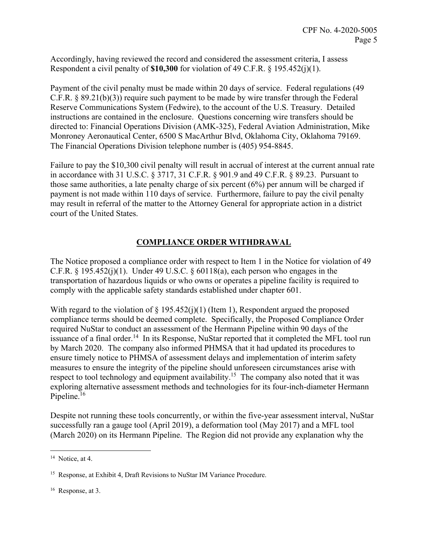Accordingly, having reviewed the record and considered the assessment criteria, I assess Respondent a civil penalty of **\$10,300** for violation of 49 C.F.R. § 195.452(j)(1).

Payment of the civil penalty must be made within 20 days of service. Federal regulations (49 C.F.R. § 89.21(b)(3)) require such payment to be made by wire transfer through the Federal Reserve Communications System (Fedwire), to the account of the U.S. Treasury. Detailed instructions are contained in the enclosure. Questions concerning wire transfers should be directed to: Financial Operations Division (AMK-325), Federal Aviation Administration, Mike Monroney Aeronautical Center, 6500 S MacArthur Blvd, Oklahoma City, Oklahoma 79169. The Financial Operations Division telephone number is (405) 954-8845.

Failure to pay the \$10,300 civil penalty will result in accrual of interest at the current annual rate in accordance with 31 U.S.C. § 3717, 31 C.F.R. § 901.9 and 49 C.F.R. § 89.23. Pursuant to those same authorities, a late penalty charge of six percent (6%) per annum will be charged if payment is not made within 110 days of service. Furthermore, failure to pay the civil penalty may result in referral of the matter to the Attorney General for appropriate action in a district court of the United States.

## **COMPLIANCE ORDER WITHDRAWAL**

The Notice proposed a compliance order with respect to Item 1 in the Notice for violation of 49 C.F.R.  $\S$  195.452(j)(1). Under 49 U.S.C.  $\S$  60118(a), each person who engages in the transportation of hazardous liquids or who owns or operates a pipeline facility is required to comply with the applicable safety standards established under chapter 601.

With regard to the violation of  $\S$  195.452(j)(1) (Item 1), Respondent argued the proposed compliance terms should be deemed complete. Specifically, the Proposed Compliance Order required NuStar to conduct an assessment of the Hermann Pipeline within 90 days of the issuance of a final [order.](https://order.14)<sup>14</sup> In its Response, NuStar reported that it completed the MFL tool run by March 2020. The company also informed PHMSA that it had updated its procedures to ensure timely notice to PHMSA of assessment delays and implementation of interim safety measures to ensure the integrity of the pipeline should unforeseen circumstances arise with respect to tool technology and equipment availability.<sup>15</sup> The company also noted that it was exploring alternative assessment methods and technologies for its four-inch-diameter Hermann Pipeline.<sup>16</sup>

Despite not running these tools concurrently, or within the five-year assessment interval, NuStar successfully ran a gauge tool (April 2019), a deformation tool (May 2017) and a MFL tool (March 2020) on its Hermann Pipeline. The Region did not provide any explanation why the

<sup>&</sup>lt;sup>14</sup> Notice, at 4.

<sup>&</sup>lt;sup>15</sup> Response, at Exhibit 4, Draft Revisions to NuStar IM Variance Procedure.

<sup>16</sup> Response, at 3.